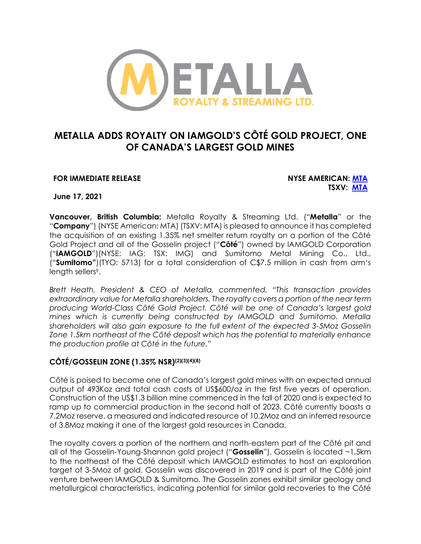

# **METALLA ADDS ROYALTY ON IAMGOLD'S CÔTÉ GOLD PROJECT, ONE OF CANADA'S LARGEST GOLD MINES**

#### **FOR IMMEDIATE RELEASE NYSE AMERICAN: [MTA](https://www.nyse.com/quote/XASE:MTA)**

**TSXV: [MTA](https://money.tmx.com/en/quote/MTA)**

**June 17, 2021**

**Vancouver, British Columbia:** Metalla Royalty & Streaming Ltd. ("**Metalla**" or the "**Company**") (NYSE American: MTA) (TSXV: MTA) is pleased to announce it has completed the acquisition of an existing 1.35% net smelter return royalty on a portion of the Côté Gold Project and all of the Gosselin project ("**Côté**") owned by IAMGOLD Corporation ("**IAMGOLD**")(NYSE: IAG; TSX: IMG) and Sumitomo Metal Mining Co., Ltd., ("**Sumitomo"**)(TYO: 5713) for a total consideration of C\$7.5 million in cash from arm's length sellers<sup>9</sup>.

*Brett Heath, President & CEO of Metalla, commented, "This transaction provides extraordinary value for Metalla shareholders. The royalty covers a portion of the near term producing World-Class Côté Gold Project. Côté will be one of Canada's largest gold mines which is currently being constructed by IAMGOLD and Sumitomo. Metalla shareholders will also gain exposure to the full extent of the expected 3-5Moz Gosselin Zone 1.5km northeast of the Côté deposit which has the potential to materially enhance the production profile at Côté in the future."* 

### **CÔTÉ/GOSSELIN ZONE (1.35% NSR)(2)(3)(4)(8)**

Côté is poised to become one of Canada's largest gold mines with an expected annual output of 493Koz and total cash costs of US\$600/oz in the first five years of operation. Construction of the US\$1.3 billion mine commenced in the fall of 2020 and is expected to ramp up to commercial production in the second half of 2023. Côté currently boasts a 7.2Moz reserve, a measured and indicated resource of 10.2Moz and an inferred resource of 3.8Moz making it one of the largest gold resources in Canada.

The royalty covers a portion of the northern and north-eastern part of the Côté pit and all of the Gosselin-Young-Shannon gold project ("**Gosselin**"). Gosselin is located ~1.5km to the northeast of the Côté deposit which IAMGOLD estimates to host an exploration target of 3-5Moz of gold. Gosselin was discovered in 2019 and is part of the Côté joint venture between IAMGOLD & Sumitomo. The Gosselin zones exhibit similar geology and metallurgical characteristics, indicating potential for similar gold recoveries to the Côté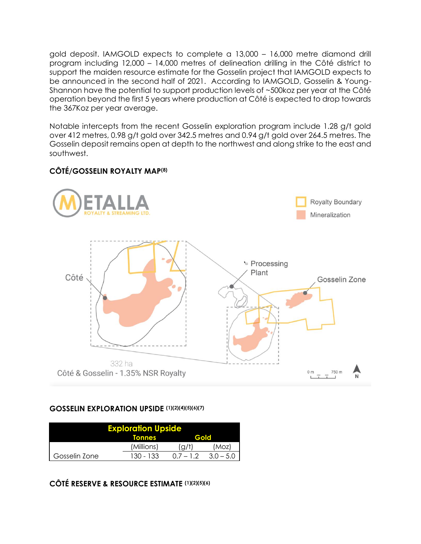gold deposit. IAMGOLD expects to complete a 13,000 – 16,000 metre diamond drill program including 12,000 – 14,000 metres of delineation drilling in the Côté district to support the maiden resource estimate for the Gosselin project that IAMGOLD expects to be announced in the second half of 2021. According to IAMGOLD, Gosselin & Young-Shannon have the potential to support production levels of ~500koz per year at the Côté operation beyond the first 5 years where production at Côté is expected to drop towards the 367Koz per year average.

Notable intercepts from the recent Gosselin exploration program include 1.28 g/t gold over 412 metres, 0.98 g/t gold over 342.5 metres and 0.94 g/t gold over 264.5 metres. The Gosselin deposit remains open at depth to the northwest and along strike to the east and southwest.



## **CÔTÉ/GOSSELIN ROYALTY MAP(8)**

#### **GOSSELIN EXPLORATION UPSIDE (1)(2)(4)(5)(6)(7)**

| <b>Exploration Upside</b> |               |             |             |  |  |
|---------------------------|---------------|-------------|-------------|--|--|
|                           | <b>Tonnes</b> | Gold        |             |  |  |
|                           | (Millions)    | [a/t        | (Moz)       |  |  |
| Gosselin Zone             | $130 - 133$   | $0.7 - 1.2$ | $3.0 - 5.0$ |  |  |

## **CÔTÉ RESERVE & RESOURCE ESTIMATE (1)(2)(5)(6)**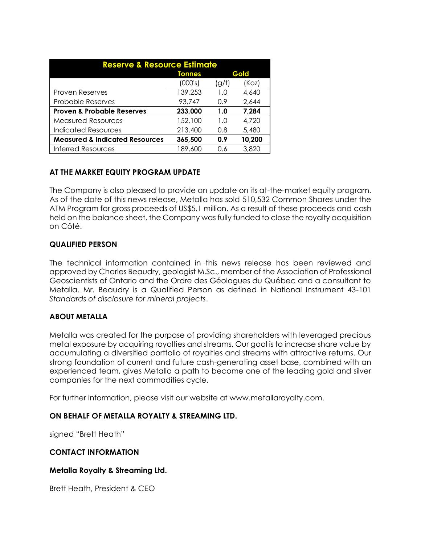| <b>Reserve &amp; Resource Estimate</b>    |               |      |        |  |  |
|-------------------------------------------|---------------|------|--------|--|--|
|                                           | <b>Tonnes</b> | Gold |        |  |  |
|                                           | (000's)       | (g/t | (Koz)  |  |  |
| <b>Proven Reserves</b>                    | 139,253       | 1.0  | 4,640  |  |  |
| <b>Probable Reserves</b>                  | 93,747        | 0.9  | 2,644  |  |  |
| <b>Proven &amp; Probable Reserves</b>     | 233,000       | 1.0  | 7,284  |  |  |
| <b>Measured Resources</b>                 | 152,100       | 1.0  | 4,720  |  |  |
| Indicated Resources                       | 213,400       | 0.8  | 5,480  |  |  |
| <b>Measured &amp; Indicated Resources</b> | 365,500       | 0.9  | 10,200 |  |  |
| <b>Inferred Resources</b>                 | 189,600       | 0.6  | 3,820  |  |  |

### **AT THE MARKET EQUITY PROGRAM UPDATE**

The Company is also pleased to provide an update on its at-the-market equity program. As of the date of this news release, Metalla has sold 510,532 Common Shares under the ATM Program for gross proceeds of US\$5.1 million. As a result of these proceeds and cash held on the balance sheet, the Company was fully funded to close the royalty acquisition on Côté.

#### **QUALIFIED PERSON**

The technical information contained in this news release has been reviewed and approved by Charles Beaudry, geologist M.Sc., member of the Association of Professional Geoscientists of Ontario and the Ordre des Géologues du Québec and a consultant to Metalla. Mr. Beaudry is a Qualified Person as defined in National Instrument 43-101 *Standards of disclosure for mineral projects*.

### **ABOUT METALLA**

Metalla was created for the purpose of providing shareholders with leveraged precious metal exposure by acquiring royalties and streams. Our goal is to increase share value by accumulating a diversified portfolio of royalties and streams with attractive returns. Our strong foundation of current and future cash-generating asset base, combined with an experienced team, gives Metalla a path to become one of the leading gold and silver companies for the next commodities cycle.

For further information, please visit our website at www.metallaroyalty.com.

### **ON BEHALF OF METALLA ROYALTY & STREAMING LTD.**

signed "Brett Heath"

#### **CONTACT INFORMATION**

#### **Metalla Royalty & Streaming Ltd.**

Brett Heath, President & CEO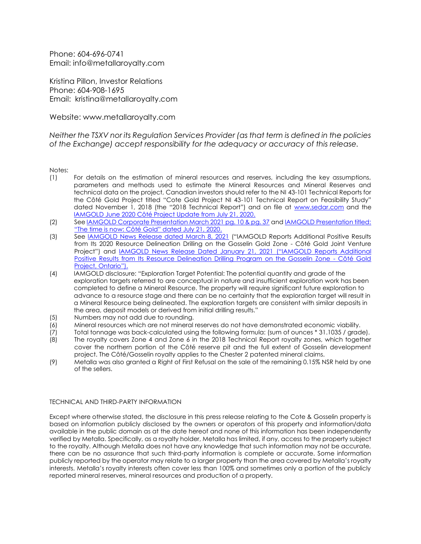Phone: 604-696-0741 Email: info@metallaroyalty.com

Kristina Pillon, Investor Relations Phone: 604-908-1695 Email: kristina@metallaroyalty.com

Website: www.metallaroyalty.com

*Neither the TSXV nor its Regulation Services Provider (as that term is defined in the policies of the Exchange) accept responsibility for the adequacy or accuracy of this release.* 

Notes:

- (1) For details on the estimation of mineral resources and reserves, including the key assumptions, parameters and methods used to estimate the Mineral Resources and Mineral Reserves and technical data on the project, Canadian investors should refer to the NI 43-101 Technical Reports for the Côté Gold Project titled "Cote Gold Project NI 43-101 Technical Report on Feasibility Study" dated November 1, 2018 (the "2018 Technical Report") and on file at [www.sedar.com](http://www.sedar.com/) and the [IAMGOLD June 2020 Côté Project Update from July 21, 2020.](https://s2.q4cdn.com/610165863/files/doc_news/2020/07/21/NR-23-20_Cote-Announcement-vFINAL.pdf)
- (2) Se[e IAMGOLD Corporate Presentation March 2021 pg. 10 & pg. 37](https://s2.q4cdn.com/610165863/files/doc_presentations/2021/03/IAMGOLD-Corp-Presentation-March-2021.pdf) an[d IAMGOLD Presentation titled:](https://s2.q4cdn.com/610165863/files/doc_presentations/2020/07/The_Time_is-Now-Cote_0721_v22.pdf)  ["The time is now: Côté Gold" dated July 21, 2020](https://s2.q4cdn.com/610165863/files/doc_presentations/2020/07/The_Time_is-Now-Cote_0721_v22.pdf).
- (3) See [IAMGOLD News Release dated March 8, 2021](https://s2.q4cdn.com/610165863/files/doc_news/2021/03/NR-09-21_Gosselin_DD_Update_EN_FINAL.pdf) ("IAMGOLD Reports Additional Positive Results from Its 2020 Resource Delineation Drilling on the Gosselin Gold Zone - Côté Gold Joint Venture Project") and <u>[IAMGOLD News Release Dated January 21, 2021](https://s2.q4cdn.com/610165863/files/doc_news/2021/01/NR-03-20_Gosselin_Drill_Update_EN_FINAL.pdf) ("IAMGOLD Reports Additional</u> Positive Results from Its Resource Delineation Drilling Program on the Gosselin Zone - Côté Gold Project, Ontario").
- (4) IAMGOLD disclosure: "Exploration Target Potential: The potential quantity and grade of the exploration targets referred to are conceptual in nature and insufficient exploration work has been completed to define a Mineral Resource. The property will require significant future exploration to advance to a resource stage and there can be no certainty that the exploration target will result in a Mineral Resource being delineated. The exploration targets are consistent with similar deposits in the area, deposit models or derived from initial drilling results."
- (5) Numbers may not add due to rounding.
- (6) Mineral resources which are not mineral reserves do not have demonstrated economic viability.
- (7) Total tonnage was back-calculated using the following formula: (sum of ounces \* 31.1035 / grade).
- (8) The royalty covers Zone 4 and Zone 6 in the 2018 Technical Report royalty zones, which together cover the northern portion of the Côté reserve pit and the full extent of Gosselin development project. The Côté/Gosselin royalty applies to the Chester 2 patented mineral claims.
- (9) Metalla was also granted a Right of First Refusal on the sale of the remaining 0.15% NSR held by one of the sellers.

#### TECHNICAL AND THIRD-PARTY INFORMATION

Except where otherwise stated, the disclosure in this press release relating to the Cote & Gosselin property is based on information publicly disclosed by the owners or operators of this property and information/data available in the public domain as at the date hereof and none of this information has been independently verified by Metalla. Specifically, as a royalty holder, Metalla has limited, if any, access to the property subject to the royalty. Although Metalla does not have any knowledge that such information may not be accurate, there can be no assurance that such third-party information is complete or accurate. Some information publicly reported by the operator may relate to a larger property than the area covered by Metalla's royalty interests. Metalla's royalty interests often cover less than 100% and sometimes only a portion of the publicly reported mineral reserves, mineral resources and production of a property.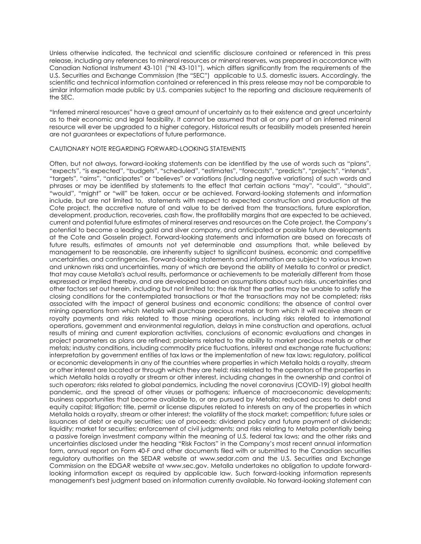Unless otherwise indicated, the technical and scientific disclosure contained or referenced in this press release, including any references to mineral resources or mineral reserves, was prepared in accordance with Canadian National Instrument 43-101 ("NI 43-101"), which differs significantly from the requirements of the U.S. Securities and Exchange Commission (the "SEC") applicable to U.S. domestic issuers. Accordingly, the scientific and technical information contained or referenced in this press release may not be comparable to similar information made public by U.S. companies subject to the reporting and disclosure requirements of the SEC.

"Inferred mineral resources" have a great amount of uncertainty as to their existence and great uncertainty as to their economic and legal feasibility. It cannot be assumed that all or any part of an inferred mineral resource will ever be upgraded to a higher category. Historical results or feasibility models presented herein are not guarantees or expectations of future performance.

#### CAUTIONARY NOTE REGARDING FORWARD-LOOKING STATEMENTS

Often, but not always, forward-looking statements can be identified by the use of words such as "plans", "expects", "is expected", "budgets", "scheduled", "estimates", "forecasts", "predicts", "projects", "intends", "targets", "aims", "anticipates" or "believes" or variations (including negative variations) of such words and phrases or may be identified by statements to the effect that certain actions "may", "could", "should", "would", "might" or "will" be taken, occur or be achieved. Forward-looking statements and information include, but are not limited to, statements with respect to expected construction and production at the Cote project, the accretive nature of and value to be derived from the transactions, future exploration, development, production, recoveries, cash flow, the profitability margins that are expected to be achieved, current and potential future estimates of mineral reserves and resources on the Cote project, the Company's potential to become a leading gold and silver company, and anticipated or possible future developments at the Cote and Gosselin project. Forward-looking statements and information are based on forecasts of future results, estimates of amounts not yet determinable and assumptions that, while believed by management to be reasonable, are inherently subject to significant business, economic and competitive uncertainties, and contingencies. Forward-looking statements and information are subject to various known and unknown risks and uncertainties, many of which are beyond the ability of Metalla to control or predict, that may cause Metalla's actual results, performance or achievements to be materially different from those expressed or implied thereby, and are developed based on assumptions about such risks, uncertainties and other factors set out herein, including but not limited to: the risk that the parties may be unable to satisfy the closing conditions for the contemplated transactions or that the transactions may not be completed; risks associated with the impact of general business and economic conditions; the absence of control over mining operations from which Metalla will purchase precious metals or from which it will receive stream or royalty payments and risks related to those mining operations, including risks related to international operations, government and environmental regulation, delays in mine construction and operations, actual results of mining and current exploration activities, conclusions of economic evaluations and changes in project parameters as plans are refined; problems related to the ability to market precious metals or other metals; industry conditions, including commodity price fluctuations, interest and exchange rate fluctuations; interpretation by government entities of tax laws or the implementation of new tax laws; regulatory, political or economic developments in any of the countries where properties in which Metalla holds a royalty, stream or other interest are located or through which they are held; risks related to the operators of the properties in which Metalla holds a royalty or stream or other interest, including changes in the ownership and control of such operators; risks related to global pandemics, including the novel coronavirus (COVID-19) global health pandemic, and the spread of other viruses or pathogens; influence of macroeconomic developments; business opportunities that become available to, or are pursued by Metalla; reduced access to debt and equity capital; litigation; title, permit or license disputes related to interests on any of the properties in which Metalla holds a royalty, stream or other interest; the volatility of the stock market; competition; future sales or issuances of debt or equity securities; use of proceeds; dividend policy and future payment of dividends; liquidity; market for securities; enforcement of civil judgments; and risks relating to Metalla potentially being a passive foreign investment company within the meaning of U.S. federal tax laws; and the other risks and uncertainties disclosed under the heading "Risk Factors" in the Company's most recent annual information form, annual report on Form 40-F and other documents filed with or submitted to the Canadian securities regulatory authorities on the SEDAR website at www.sedar.com and the U.S. Securities and Exchange Commission on the EDGAR website at www.sec.gov. Metalla undertakes no obligation to update forwardlooking information except as required by applicable law. Such forward-looking information represents management's best judgment based on information currently available. No forward-looking statement can